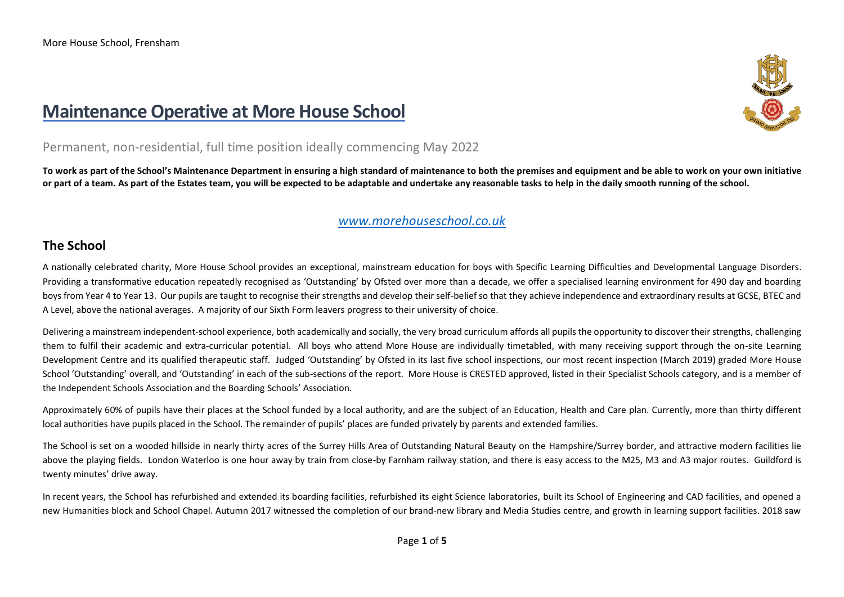# **Maintenance Operative at More House School**



### Permanent, non-residential, full time position ideally commencing May 2022

**To work as part of the School's Maintenance Department in ensuring a high standard of maintenance to both the premises and equipment and be able to work on your own initiative or part of a team. As part of the Estates team, you will be expected to be adaptable and undertake any reasonable tasks to help in the daily smooth running of the school.** 

### *[www.morehouseschool.co.uk](http://www.morehouseschool.co.uk/)*

### **The School**

A nationally celebrated charity, More House School provides an exceptional, mainstream education for boys with Specific Learning Difficulties and Developmental Language Disorders. Providing a transformative education repeatedly recognised as 'Outstanding' by Ofsted over more than a decade, we offer a specialised learning environment for 490 day and boarding boys from Year 4 to Year 13. Our pupils are taught to recognise their strengths and develop their self-belief so that they achieve independence and extraordinary results at GCSE, BTEC and A Level, above the national averages. A majority of our Sixth Form leavers progress to their university of choice.

Delivering a mainstream independent-school experience, both academically and socially, the very broad curriculum affords all pupils the opportunity to discover their strengths, challenging them to fulfil their academic and extra-curricular potential. All boys who attend More House are individually timetabled, with many receiving support through the on-site Learning Development Centre and its qualified therapeutic staff. Judged 'Outstanding' by Ofsted in its last five school inspections, our most recent inspection (March 2019) graded More House School 'Outstanding' overall, and 'Outstanding' in each of the sub-sections of the report. More House is CRESTED approved, listed in their Specialist Schools category, and is a member of the Independent Schools Association and the Boarding Schools' Association.

Approximately 60% of pupils have their places at the School funded by a local authority, and are the subject of an Education, Health and Care plan. Currently, more than thirty different local authorities have pupils placed in the School. The remainder of pupils' places are funded privately by parents and extended families.

The School is set on a wooded hillside in nearly thirty acres of the Surrey Hills Area of Outstanding Natural Beauty on the Hampshire/Surrey border, and attractive modern facilities lie above the playing fields. London Waterloo is one hour away by train from close-by Farnham railway station, and there is easy access to the M25, M3 and A3 major routes. Guildford is twenty minutes' drive away.

In recent years, the School has refurbished and extended its boarding facilities, refurbished its eight Science laboratories, built its School of Engineering and CAD facilities, and opened a new Humanities block and School Chapel. Autumn 2017 witnessed the completion of our brand-new library and Media Studies centre, and growth in learning support facilities. 2018 saw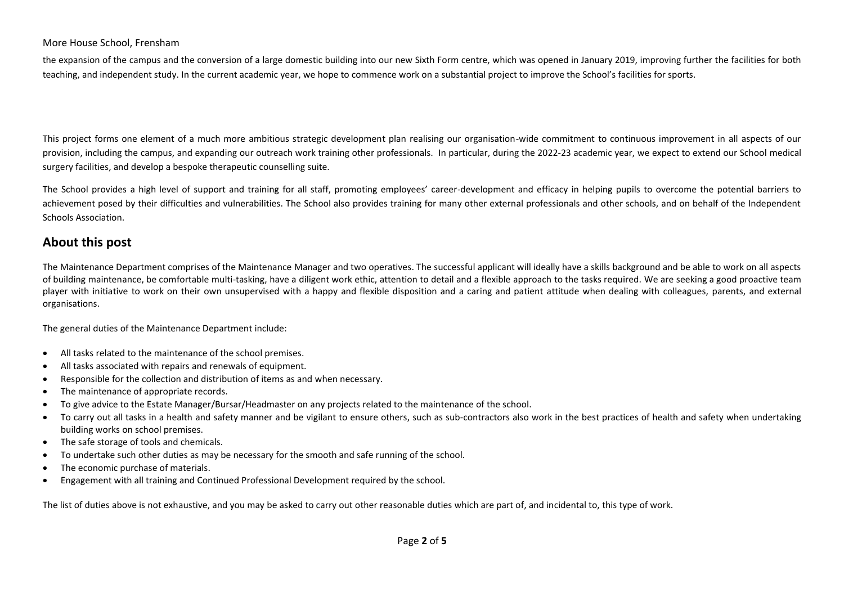#### More House School, Frensham

the expansion of the campus and the conversion of a large domestic building into our new Sixth Form centre, which was opened in January 2019, improving further the facilities for both teaching, and independent study. In the current academic year, we hope to commence work on a substantial project to improve the School's facilities for sports.

This project forms one element of a much more ambitious strategic development plan realising our organisation-wide commitment to continuous improvement in all aspects of our provision, including the campus, and expanding our outreach work training other professionals. In particular, during the 2022-23 academic year, we expect to extend our School medical surgery facilities, and develop a bespoke therapeutic counselling suite.

The School provides a high level of support and training for all staff, promoting employees' career-development and efficacy in helping pupils to overcome the potential barriers to achievement posed by their difficulties and vulnerabilities. The School also provides training for many other external professionals and other schools, and on behalf of the Independent Schools Association.

### **About this post**

The Maintenance Department comprises of the Maintenance Manager and two operatives. The successful applicant will ideally have a skills background and be able to work on all aspects of building maintenance, be comfortable multi-tasking, have a diligent work ethic, attention to detail and a flexible approach to the tasks required. We are seeking a good proactive team player with initiative to work on their own unsupervised with a happy and flexible disposition and a caring and patient attitude when dealing with colleagues, parents, and external organisations.

The general duties of the Maintenance Department include:

- All tasks related to the maintenance of the school premises.
- All tasks associated with repairs and renewals of equipment.
- Responsible for the collection and distribution of items as and when necessary.
- The maintenance of appropriate records.
- To give advice to the Estate Manager/Bursar/Headmaster on any projects related to the maintenance of the school.
- To carry out all tasks in a health and safety manner and be vigilant to ensure others, such as sub-contractors also work in the best practices of health and safety when undertaking building works on school premises.
- The safe storage of tools and chemicals.
- To undertake such other duties as may be necessary for the smooth and safe running of the school.
- The economic purchase of materials.
- Engagement with all training and Continued Professional Development required by the school.

The list of duties above is not exhaustive, and you may be asked to carry out other reasonable duties which are part of, and incidental to, this type of work.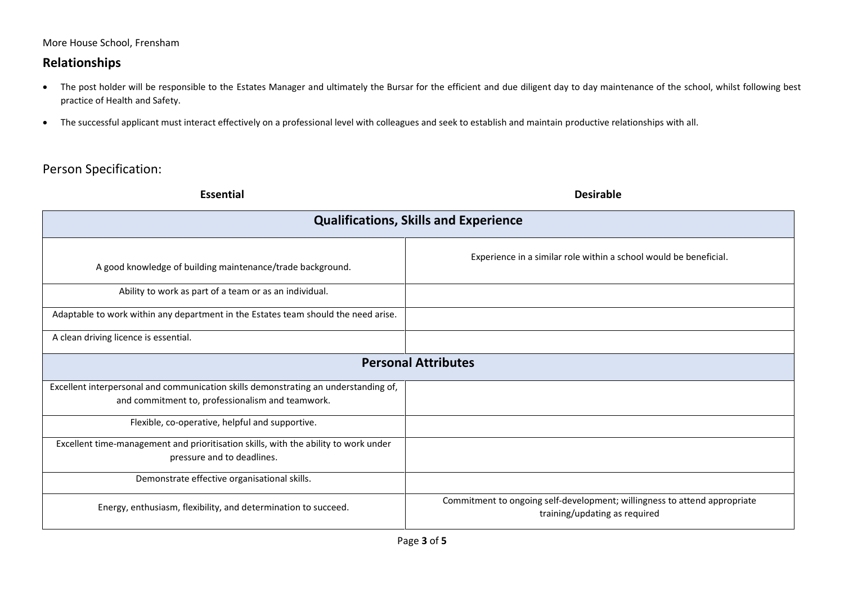More House School, Frensham

## **Relationships**

- The post holder will be responsible to the Estates Manager and ultimately the Bursar for the efficient and due diligent day to day maintenance of the school, whilst following best practice of Health and Safety.
- The successful applicant must interact effectively on a professional level with colleagues and seek to establish and maintain productive relationships with all.

# Person Specification:

| <b>Essential</b>                                                                                                                        | <b>Desirable</b>                                                                                           |
|-----------------------------------------------------------------------------------------------------------------------------------------|------------------------------------------------------------------------------------------------------------|
| <b>Qualifications, Skills and Experience</b>                                                                                            |                                                                                                            |
| A good knowledge of building maintenance/trade background.                                                                              | Experience in a similar role within a school would be beneficial.                                          |
| Ability to work as part of a team or as an individual.                                                                                  |                                                                                                            |
| Adaptable to work within any department in the Estates team should the need arise.                                                      |                                                                                                            |
| A clean driving licence is essential.                                                                                                   |                                                                                                            |
| <b>Personal Attributes</b>                                                                                                              |                                                                                                            |
| Excellent interpersonal and communication skills demonstrating an understanding of,<br>and commitment to, professionalism and teamwork. |                                                                                                            |
| Flexible, co-operative, helpful and supportive.                                                                                         |                                                                                                            |
| Excellent time-management and prioritisation skills, with the ability to work under<br>pressure and to deadlines.                       |                                                                                                            |
| Demonstrate effective organisational skills.                                                                                            |                                                                                                            |
| Energy, enthusiasm, flexibility, and determination to succeed.                                                                          | Commitment to ongoing self-development; willingness to attend appropriate<br>training/updating as required |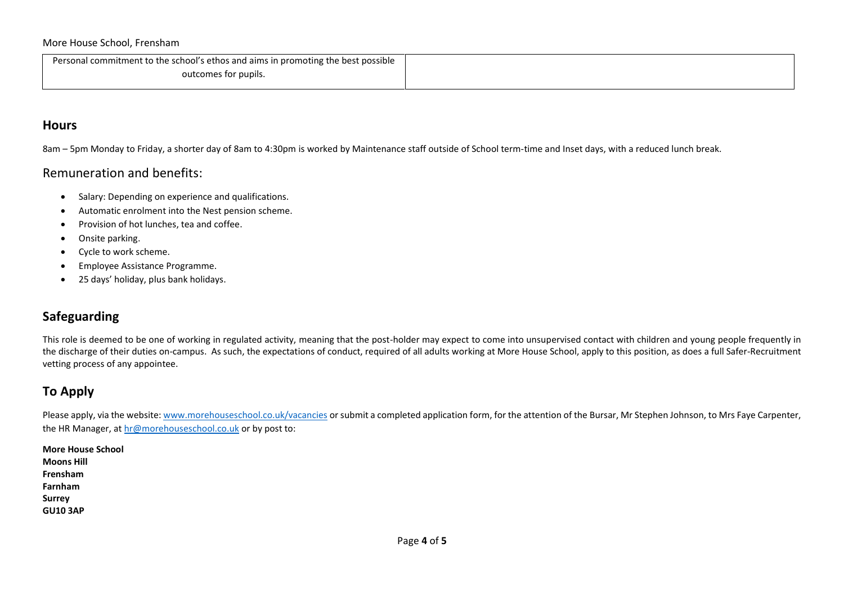Personal commitment to the school's ethos and aims in promoting the best possible outcomes for pupils.

### **Hours**

8am – 5pm Monday to Friday, a shorter day of 8am to 4:30pm is worked by Maintenance staff outside of School term-time and Inset days, with a reduced lunch break.

### Remuneration and benefits:

- Salary: Depending on experience and qualifications.
- Automatic enrolment into the Nest pension scheme.
- Provision of hot lunches, tea and coffee.
- Onsite parking.
- Cycle to work scheme.
- Employee Assistance Programme.
- 25 days' holiday, plus bank holidays.

### **Safeguarding**

This role is deemed to be one of working in regulated activity, meaning that the post-holder may expect to come into unsupervised contact with children and young people frequently in the discharge of their duties on-campus. As such, the expectations of conduct, required of all adults working at More House School, apply to this position, as does a full Safer-Recruitment vetting process of any appointee.

## **To Apply**

Please apply, via the website: [www.morehouseschool.co.uk/vacancies](http://www.morehouseschool.co.uk/vacancies) or submit a completed application form, for the attention of the Bursar, Mr Stephen Johnson, to Mrs Faye Carpenter, the HR Manager, at [hr@morehouseschool.co.uk](mailto:hr@morehouseschool.co.uk) or by post to:

**More House School Moons Hill Frensham Farnham Surrey GU10 3AP**